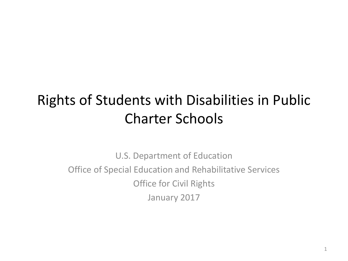### Rights of Students with Disabilities in Public Charter Schools

U.S. Department of Education Office of Special Education and Rehabilitative Services Office for Civil Rights January 2017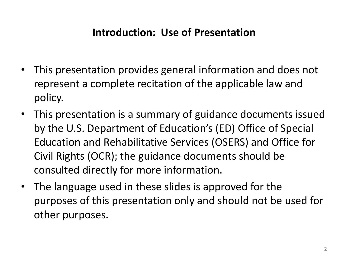#### **Introduction: Use of Presentation**

- This presentation provides general information and does not represent a complete recitation of the applicable law and policy.
- This presentation is a summary of guidance documents issued by the U.S. Department of Education's (ED) Office of Special Education and Rehabilitative Services (OSERS) and Office for Civil Rights (OCR); the guidance documents should be consulted directly for more information.
- The language used in these slides is approved for the purposes of this presentation only and should not be used for other purposes.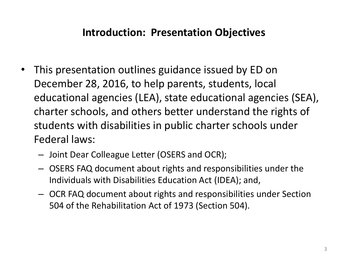#### **Introduction: Presentation Objectives**

- This presentation outlines guidance issued by ED on December 28, 2016, to help parents, students, local educational agencies (LEA), state educational agencies (SEA), charter schools, and others better understand the rights of students with disabilities in public charter schools under Federal laws:
	- Joint Dear Colleague Letter (OSERS and OCR);
	- OSERS FAQ document about rights and responsibilities under the Individuals with Disabilities Education Act (IDEA); and,
	- OCR FAQ document about rights and responsibilities under Section 504 of the Rehabilitation Act of 1973 (Section 504).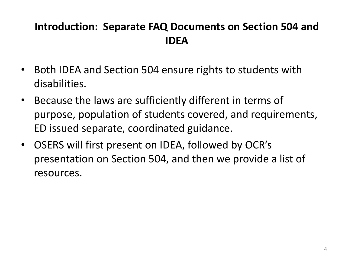### **Introduction: Separate FAQ Documents on Section 504 and IDEA**

- Both IDEA and Section 504 ensure rights to students with disabilities.
- Because the laws are sufficiently different in terms of purpose, population of students covered, and requirements, ED issued separate, coordinated guidance.
- OSERS will first present on IDEA, followed by OCR's presentation on Section 504, and then we provide a list of resources.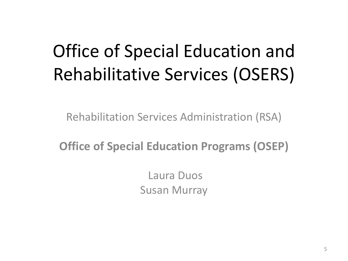### Office of Special Education and Rehabilitative Services (OSERS)

Rehabilitation Services Administration (RSA)

**Office of Special Education Programs (OSEP)** 

Laura Duos Susan Murray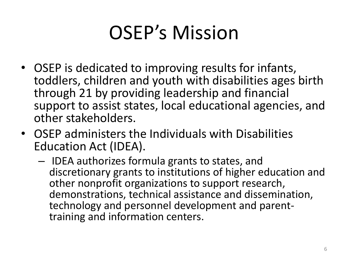## OSEP's Mission

- OSEP is dedicated to improving results for infants, toddlers, children and youth with disabilities ages birth through 21 by providing leadership and financial support to assist states, local educational agencies, and other stakeholders.
- OSEP administers the Individuals with Disabilities Education Act (IDEA).
	- IDEA authorizes formula grants to states, and discretionary grants to institutions of higher education and other nonprofit organizations to support research, demonstrations, technical assistance and dissemination, technology and personnel development and parenttraining and information centers.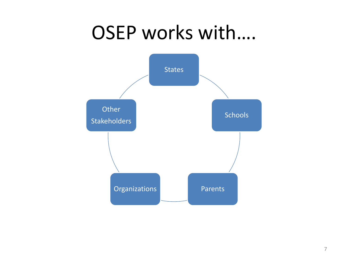### OSEP works with….

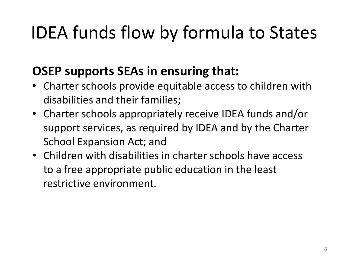### IDEA funds flow by formula to States

### **OSEP supports SEAs in ensuring that:**

- Charter schools provide equitable access to children with disabilities and their families;
- Charter schools appropriately receive IDEA funds and/or support services, as required by IDEA and by the Charter School Expansion Act; and
- Children with disabilities in charter schools have access to a free appropriate public education in the least restrictive environment.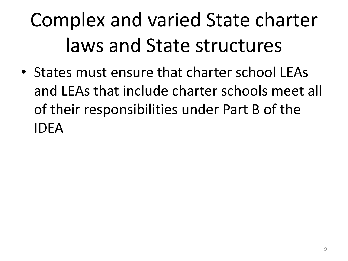# Complex and varied State charter laws and State structures

• States must ensure that charter school LEAs and LEAs that include charter schools meet all of their responsibilities under Part B of the IDEA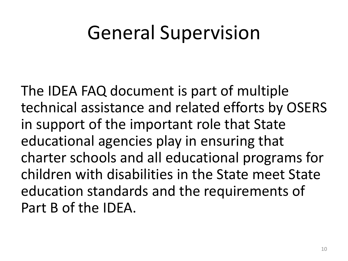### General Supervision

The IDEA FAQ document is part of multiple technical assistance and related efforts by OSERS in support of the important role that State educational agencies play in ensuring that charter schools and all educational programs for children with disabilities in the State meet State education standards and the requirements of Part B of the IDEA.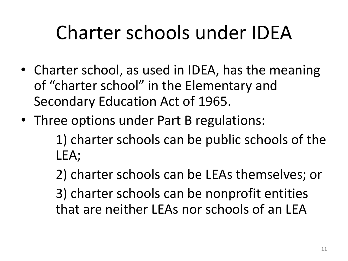## Charter schools under IDEA

- Charter school, as used in IDEA, has the meaning of "charter school" in the Elementary and Secondary Education Act of 1965.
- Three options under Part B regulations:

 1) charter schools can be public schools of the LEA;

 2) charter schools can be LEAs themselves; or 3) charter schools can be nonprofit entities that are neither LEAs nor schools of an LEA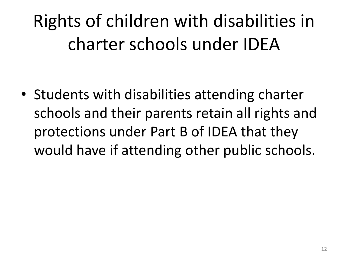### Rights of children with disabilities in charter schools under IDEA

• Students with disabilities attending charter schools and their parents retain all rights and protections under Part B of IDEA that they would have if attending other public schools.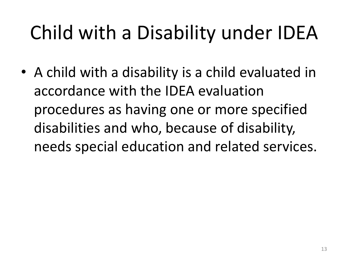## Child with a Disability under IDEA

• A child with a disability is a child evaluated in accordance with the IDEA evaluation procedures as having one or more specified disabilities and who, because of disability, needs special education and related services.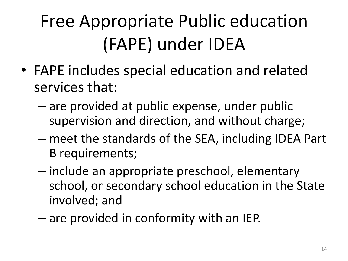## Free Appropriate Public education (FAPE) under IDEA

- FAPE includes special education and related services that:
	- are provided at public expense, under public supervision and direction, and without charge;
	- meet the standards of the SEA, including IDEA Part B requirements;
	- include an appropriate preschool, elementary school, or secondary school education in the State involved; and
	- are provided in conformity with an IEP.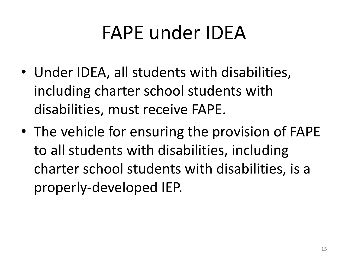### FAPE under IDEA

- Under IDEA, all students with disabilities, including charter school students with disabilities, must receive FAPE.
- The vehicle for ensuring the provision of FAPE to all students with disabilities, including charter school students with disabilities, is a properly-developed IEP.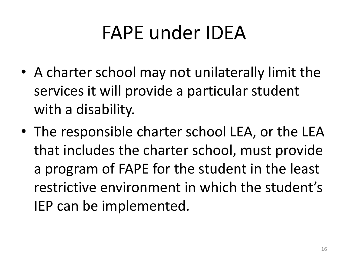## FAPE under IDEA

- A charter school may not unilaterally limit the services it will provide a particular student with a disability.
- The responsible charter school LEA, or the LEA that includes the charter school, must provide a program of FAPE for the student in the least restrictive environment in which the student's IEP can be implemented.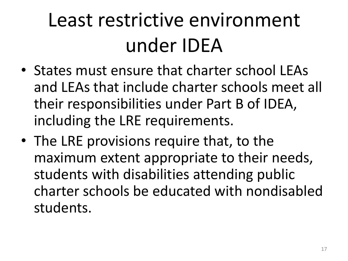## Least restrictive environment under IDEA

- States must ensure that charter school LEAs and LEAs that include charter schools meet all their responsibilities under Part B of IDEA, including the LRE requirements.
- The LRE provisions require that, to the maximum extent appropriate to their needs, students with disabilities attending public charter schools be educated with nondisabled students.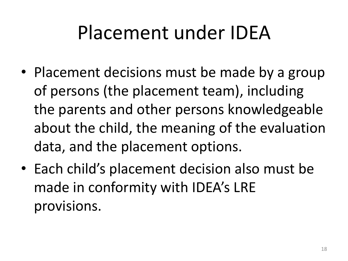### Placement under IDEA

- Placement decisions must be made by a group of persons (the placement team), including the parents and other persons knowledgeable about the child, the meaning of the evaluation data, and the placement options.
- Each child's placement decision also must be made in conformity with IDEA's LRE provisions.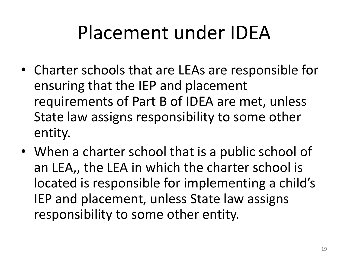### Placement under IDEA

- Charter schools that are LEAs are responsible for ensuring that the IEP and placement requirements of Part B of IDEA are met, unless State law assigns responsibility to some other entity.
- When a charter school that is a public school of an LEA,, the LEA in which the charter school is located is responsible for implementing a child's IEP and placement, unless State law assigns responsibility to some other entity.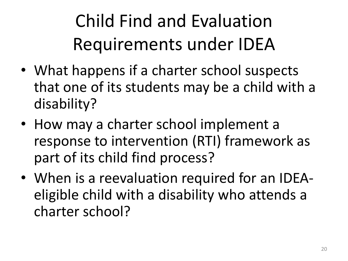Child Find and Evaluation Requirements under IDEA

- What happens if a charter school suspects that one of its students may be a child with a disability?
- How may a charter school implement a response to intervention (RTI) framework as part of its child find process?
- When is a reevaluation required for an IDEAeligible child with a disability who attends a charter school?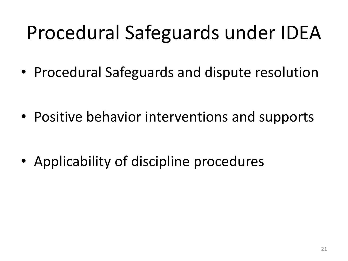## Procedural Safeguards under IDEA

• Procedural Safeguards and dispute resolution

• Positive behavior interventions and supports

• Applicability of discipline procedures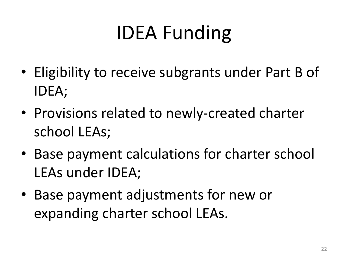## IDEA Funding

- Eligibility to receive subgrants under Part B of IDEA;
- Provisions related to newly-created charter school LEAs;
- Base payment calculations for charter school LEAs under IDEA;
- Base payment adjustments for new or expanding charter school LEAs.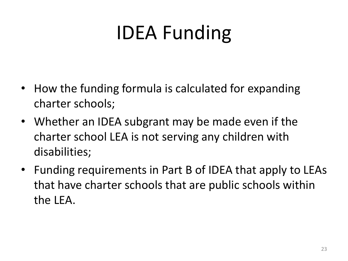## IDEA Funding

- How the funding formula is calculated for expanding charter schools;
- Whether an IDEA subgrant may be made even if the charter school LEA is not serving any children with disabilities;
- Funding requirements in Part B of IDEA that apply to LEAs that have charter schools that are public schools within the LEA.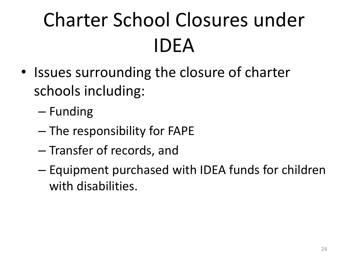# Charter School Closures under IDEA

- Issues surrounding the closure of charter schools including:
	- Funding
	- The responsibility for FAPE
	- Transfer of records, and
	- Equipment purchased with IDEA funds for children with disabilities.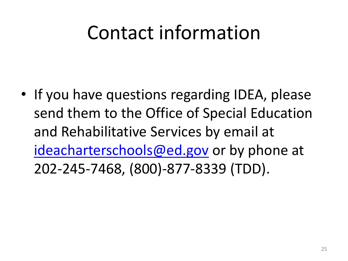### Contact information

• If you have questions regarding IDEA, please send them to the Office of Special Education and Rehabilitative Services by email at [ideacharterschools@ed.gov](mailto:ideacharterschools@ed.gov) or by phone at 202-245-7468, (800)-877-8339 (TDD).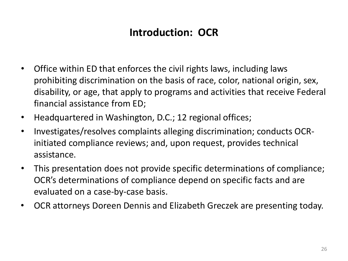### **Introduction: OCR**

- Office within ED that enforces the civil rights laws, including laws prohibiting discrimination on the basis of race, color, national origin, sex, disability, or age, that apply to programs and activities that receive Federal financial assistance from ED;
- Headquartered in Washington, D.C.; 12 regional offices;
- Investigates/resolves complaints alleging discrimination; conducts OCRinitiated compliance reviews; and, upon request, provides technical assistance.
- This presentation does not provide specific determinations of compliance; OCR's determinations of compliance depend on specific facts and are evaluated on a case-by-case basis.
- OCR attorneys Doreen Dennis and Elizabeth Greczek are presenting today.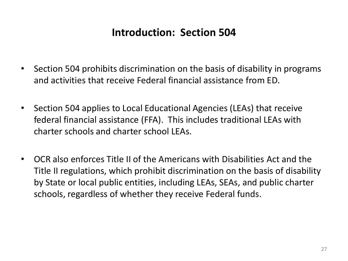#### **Introduction: Section 504**

- Section 504 prohibits discrimination on the basis of disability in programs and activities that receive Federal financial assistance from ED.
- Section 504 applies to Local Educational Agencies (LEAs) that receive federal financial assistance (FFA). This includes traditional LEAs with charter schools and charter school LEAs.
- OCR also enforces Title II of the Americans with Disabilities Act and the Title II regulations, which prohibit discrimination on the basis of disability by State or local public entities, including LEAs, SEAs, and public charter schools, regardless of whether they receive Federal funds.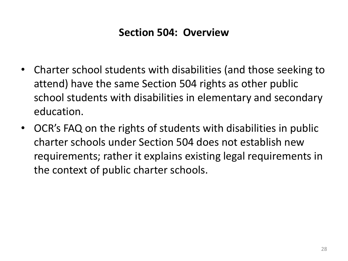#### **Section 504: Overview**

- Charter school students with disabilities (and those seeking to attend) have the same Section 504 rights as other public school students with disabilities in elementary and secondary education.
- OCR's FAQ on the rights of students with disabilities in public charter schools under Section 504 does not establish new requirements; rather it explains existing legal requirements in the context of public charter schools.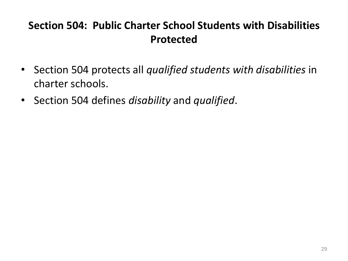### **Section 504: Public Charter School Students with Disabilities Protected**

- Section 504 protects all *qualified students with disabilities* in charter schools.
- Section 504 defines *disability* and *qualified*.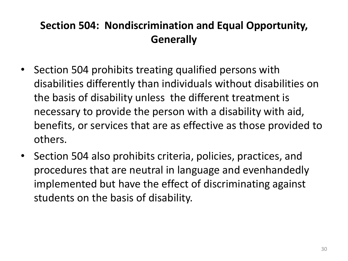### **Section 504: Nondiscrimination and Equal Opportunity, Generally**

- Section 504 prohibits treating qualified persons with disabilities differently than individuals without disabilities on the basis of disability unless the different treatment is necessary to provide the person with a disability with aid, benefits, or services that are as effective as those provided to others.
- Section 504 also prohibits criteria, policies, practices, and procedures that are neutral in language and evenhandedly implemented but have the effect of discriminating against students on the basis of disability.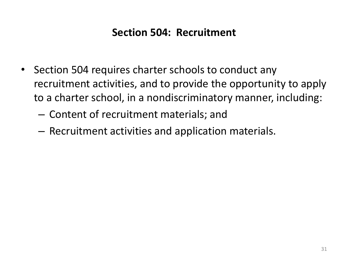#### **Section 504: Recruitment**

- Section 504 requires charter schools to conduct any recruitment activities, and to provide the opportunity to apply to a charter school, in a nondiscriminatory manner, including:
	- Content of recruitment materials; and
	- Recruitment activities and application materials.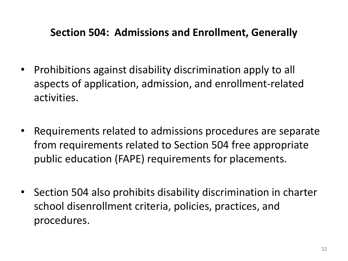#### **Section 504: Admissions and Enrollment, Generally**

- Prohibitions against disability discrimination apply to all aspects of application, admission, and enrollment-related activities.
- Requirements related to admissions procedures are separate from requirements related to Section 504 free appropriate public education (FAPE) requirements for placements.
- Section 504 also prohibits disability discrimination in charter school disenrollment criteria, policies, practices, and procedures.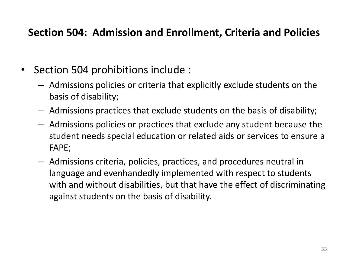#### **Section 504: Admission and Enrollment, Criteria and Policies**

- Section 504 prohibitions include :
	- Admissions policies or criteria that explicitly exclude students on the basis of disability;
	- Admissions practices that exclude students on the basis of disability;
	- Admissions policies or practices that exclude any student because the student needs special education or related aids or services to ensure a FAPE;
	- Admissions criteria, policies, practices, and procedures neutral in language and evenhandedly implemented with respect to students with and without disabilities, but that have the effect of discriminating against students on the basis of disability.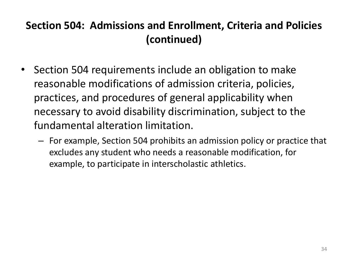### **Section 504: Admissions and Enrollment, Criteria and Policies (continued)**

- Section 504 requirements include an obligation to make reasonable modifications of admission criteria, policies, practices, and procedures of general applicability when necessary to avoid disability discrimination, subject to the fundamental alteration limitation.
	- For example, Section 504 prohibits an admission policy or practice that excludes any student who needs a reasonable modification, for example, to participate in interscholastic athletics.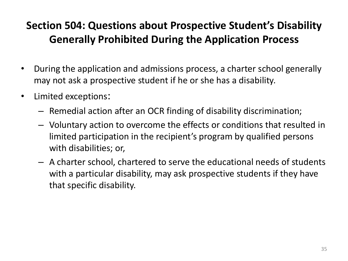### **Section 504: Questions about Prospective Student's Disability Generally Prohibited During the Application Process**

- During the application and admissions process, a charter school generally may not ask a prospective student if he or she has a disability.
- Limited exceptions:
	- Remedial action after an OCR finding of disability discrimination;
	- Voluntary action to overcome the effects or conditions that resulted in limited participation in the recipient's program by qualified persons with disabilities; or,
	- A charter school, chartered to serve the educational needs of students with a particular disability, may ask prospective students if they have that specific disability.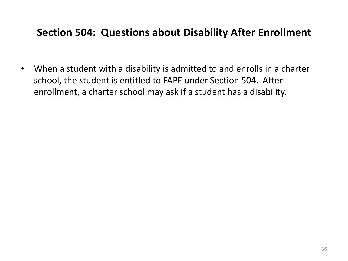#### **Section 504: Questions about Disability After Enrollment**

• When a student with a disability is admitted to and enrolls in a charter school, the student is entitled to FAPE under Section 504. After enrollment, a charter school may ask if a student has a disability.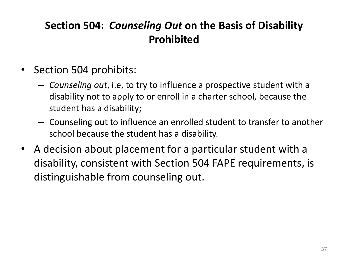### **Section 504:** *Counseling Out* **on the Basis of Disability Prohibited**

- Section 504 prohibits:
	- *Counseling out*, i.e, to try to influence a prospective student with a disability not to apply to or enroll in a charter school, because the student has a disability;
	- Counseling out to influence an enrolled student to transfer to another school because the student has a disability.
- A decision about placement for a particular student with a disability, consistent with Section 504 FAPE requirements, is distinguishable from counseling out.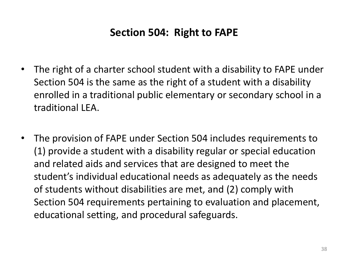#### **Section 504: Right to FAPE**

- The right of a charter school student with a disability to FAPE under Section 504 is the same as the right of a student with a disability enrolled in a traditional public elementary or secondary school in a traditional LEA.
- The provision of FAPE under Section 504 includes requirements to (1) provide a student with a disability regular or special education and related aids and services that are designed to meet the student's individual educational needs as adequately as the needs of students without disabilities are met, and (2) comply with Section 504 requirements pertaining to evaluation and placement, educational setting, and procedural safeguards.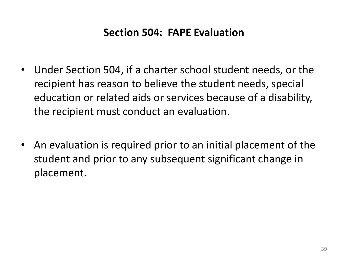#### **Section 504: FAPE Evaluation**

- Under Section 504, if a charter school student needs, or the recipient has reason to believe the student needs, special education or related aids or services because of a disability, the recipient must conduct an evaluation.
- An evaluation is required prior to an initial placement of the student and prior to any subsequent significant change in placement.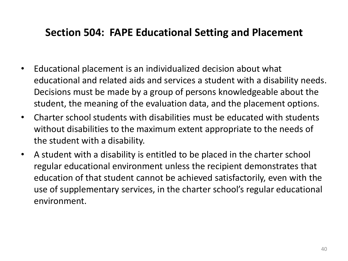#### **Section 504: FAPE Educational Setting and Placement**

- Educational placement is an individualized decision about what educational and related aids and services a student with a disability needs. Decisions must be made by a group of persons knowledgeable about the student, the meaning of the evaluation data, and the placement options.
- Charter school students with disabilities must be educated with students without disabilities to the maximum extent appropriate to the needs of the student with a disability.
- A student with a disability is entitled to be placed in the charter school regular educational environment unless the recipient demonstrates that education of that student cannot be achieved satisfactorily, even with the use of supplementary services, in the charter school's regular educational environment.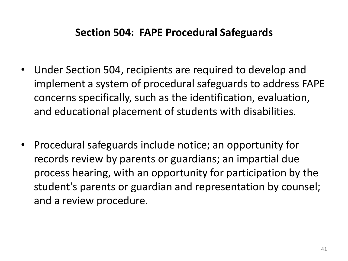#### **Section 504: FAPE Procedural Safeguards**

- Under Section 504, recipients are required to develop and implement a system of procedural safeguards to address FAPE concerns specifically, such as the identification, evaluation, and educational placement of students with disabilities.
- Procedural safeguards include notice; an opportunity for records review by parents or guardians; an impartial due process hearing, with an opportunity for participation by the student's parents or guardian and representation by counsel; and a review procedure.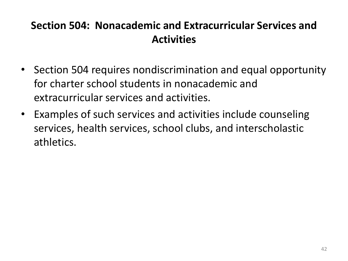### **Section 504: Nonacademic and Extracurricular Services and Activities**

- Section 504 requires nondiscrimination and equal opportunity for charter school students in nonacademic and extracurricular services and activities.
- Examples of such services and activities include counseling services, health services, school clubs, and interscholastic athletics.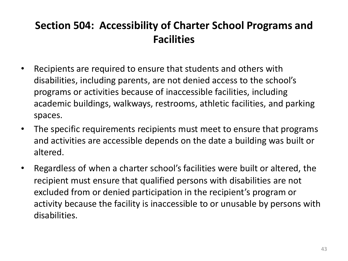### **Section 504: Accessibility of Charter School Programs and Facilities**

- Recipients are required to ensure that students and others with disabilities, including parents, are not denied access to the school's programs or activities because of inaccessible facilities, including academic buildings, walkways, restrooms, athletic facilities, and parking spaces.
- The specific requirements recipients must meet to ensure that programs and activities are accessible depends on the date a building was built or altered.
- Regardless of when a charter school's facilities were built or altered, the recipient must ensure that qualified persons with disabilities are not excluded from or denied participation in the recipient's program or activity because the facility is inaccessible to or unusable by persons with disabilities.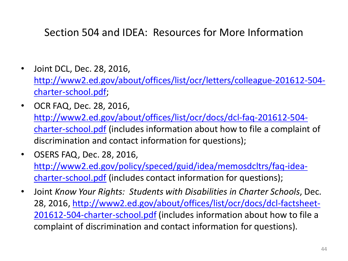#### Section 504 and IDEA: Resources for More Information

- Joint DCL, Dec. 28, 2016, [http://www2.ed.gov/about/offices/list/ocr/letters/colleague-201612-504](http://www2.ed.gov/about/offices/list/ocr/letters/colleague-201612-504-charter-school.pdf) [charter-school.pdf](http://www2.ed.gov/about/offices/list/ocr/letters/colleague-201612-504-charter-school.pdf);
- OCR FAQ, Dec. 28, 2016, [http://www2.ed.gov/about/offices/list/ocr/docs/dcl-faq-201612-504](http://www2.ed.gov/about/offices/list/ocr/docs/dcl-faq-201612-504-charter-school.pdf) [charter-school.pdf](http://www2.ed.gov/about/offices/list/ocr/docs/dcl-faq-201612-504-charter-school.pdf) (includes information about how to file a complaint of discrimination and contact information for questions);
- OSERS FAQ, Dec. 28, 2016, [http://www2.ed.gov/policy/speced/guid/idea/memosdcltrs/faq-idea](http://www2.ed.gov/policy/speced/guid/idea/memosdcltrs/faq-idea-charter-school.pdf)[charter-school.pdf](http://www2.ed.gov/policy/speced/guid/idea/memosdcltrs/faq-idea-charter-school.pdf) (includes contact information for questions);
- Joint *Know Your Rights: Students with Disabilities in Charter Schools*, Dec. 28, 2016, [http://www2.ed.gov/about/offices/list/ocr/docs/dcl-factsheet-](http://www2.ed.gov/about/offices/list/ocr/docs/dcl-factsheet-201612-504-charter-school.pdf)[201612-504-charter-school.pdf](http://www2.ed.gov/about/offices/list/ocr/docs/dcl-factsheet-201612-504-charter-school.pdf) (includes information about how to file a complaint of discrimination and contact information for questions).